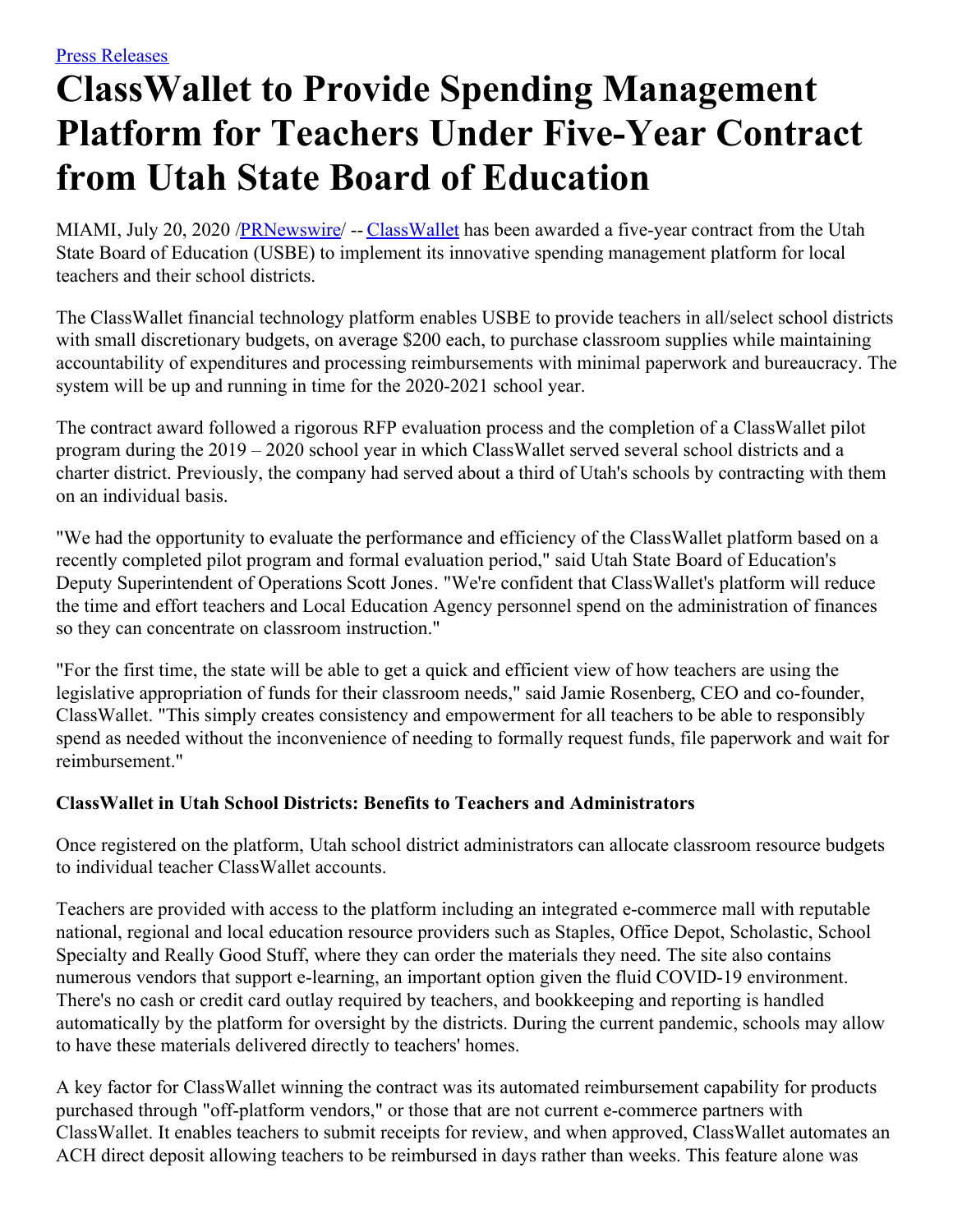## **ClassWallet to Provide Spending Management Platform for Teachers Under Five-Year Contract from Utah State Board of Education**

MIAMI, July 20, 2020 /**PRNewswire/** -- [ClassWallet](https://c212.net/c/link/?t=0&l=en&o=2861600-1&h=749883829&u=https%3A%2F%2Fwww.classwallet.com%2F%3Futm_source%3Dfeintuch%26utm_medium%3Dpress-release%26utm_campaign%3Dpr-web&a=ClassWallet) has been awarded a five-year contract from the Utah State Board of Education (USBE) to implement its innovative spending management platform for local teachers and their school districts.

The ClassWallet financial technology platform enables USBE to provide teachers in all/select school districts with small discretionary budgets, on average \$200 each, to purchase classroom supplies while maintaining accountability of expenditures and processing reimbursements with minimal paperwork and bureaucracy. The system will be up and running in time for the 2020-2021 school year.

The contract award followed a rigorous RFP evaluation process and the completion of a ClassWallet pilot program during the 2019 – 2020 school year in which ClassWallet served several school districts and a charter district. Previously, the company had served about a third of Utah's schools by contracting with them on an individual basis.

"We had the opportunity to evaluate the performance and efficiency of the ClassWallet platform based on a recently completed pilot program and formal evaluation period," said Utah State Board of Education's Deputy Superintendent of Operations Scott Jones. "We're confident that ClassWallet's platform will reduce the time and effort teachers and Local Education Agency personnel spend on the administration of finances so they can concentrate on classroom instruction."

"For the first time, the state will be able to get a quick and efficient view of how teachers are using the legislative appropriation of funds for their classroom needs," said Jamie Rosenberg, CEO and co-founder, ClassWallet. "This simply creates consistency and empowerment for all teachers to be able to responsibly spend as needed without the inconvenience of needing to formally request funds, file paperwork and wait for reimbursement."

## **ClassWallet in Utah School Districts: Benefits to Teachers and Administrators**

Once registered on the platform, Utah school district administrators can allocate classroom resource budgets to individual teacher ClassWallet accounts.

Teachers are provided with access to the platform including an integrated e-commerce mall with reputable national, regional and local education resource providers such as Staples, Office Depot, Scholastic, School Specialty and Really Good Stuff, where they can order the materials they need. The site also contains numerous vendors that support e-learning, an important option given the fluid COVID-19 environment. There's no cash or credit card outlay required by teachers, and bookkeeping and reporting is handled automatically by the platform for oversight by the districts. During the current pandemic, schools may allow to have these materials delivered directly to teachers' homes.

A key factor for ClassWallet winning the contract was its automated reimbursement capability for products purchased through "off-platform vendors," or those that are not current e-commerce partners with ClassWallet. It enables teachers to submit receipts for review, and when approved, ClassWallet automates an ACH direct deposit allowing teachers to be reimbursed in days rather than weeks. This feature alone was